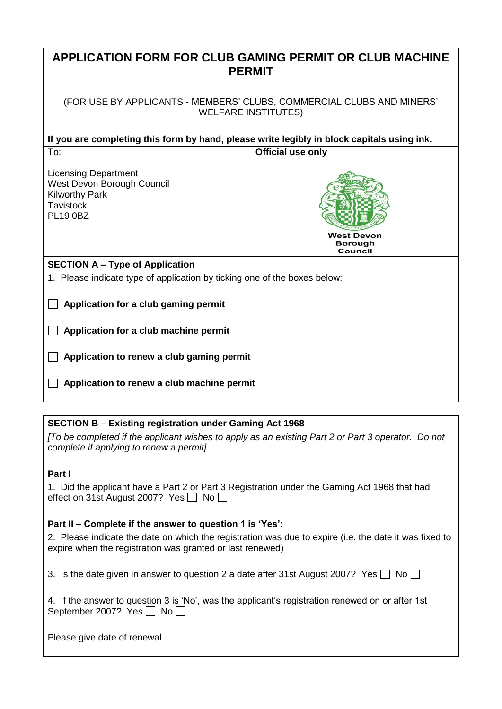| APPLICATION FORM FOR CLUB GAMING PERMIT OR CLUB MACHINE<br><b>PERMIT</b>                                                  |                              |  |  |  |
|---------------------------------------------------------------------------------------------------------------------------|------------------------------|--|--|--|
| (FOR USE BY APPLICANTS - MEMBERS' CLUBS, COMMERCIAL CLUBS AND MINERS'<br><b>WELFARE INSTITUTES)</b>                       |                              |  |  |  |
| If you are completing this form by hand, please write legibly in block capitals using ink.                                |                              |  |  |  |
| <b>Official use only</b><br>To:                                                                                           |                              |  |  |  |
| <b>Licensing Department</b><br>West Devon Borough Council<br><b>Kilworthy Park</b><br><b>Tavistock</b><br><b>PL19 0BZ</b> | <b>West Devon</b><br>Borough |  |  |  |
|                                                                                                                           | Council                      |  |  |  |
| <b>SECTION A – Type of Application</b>                                                                                    |                              |  |  |  |
| 1. Please indicate type of application by ticking one of the boxes below:                                                 |                              |  |  |  |
| Application for a club gaming permit                                                                                      |                              |  |  |  |
| Application for a club machine permit                                                                                     |                              |  |  |  |
| Application to renew a club gaming permit                                                                                 |                              |  |  |  |
| Application to renew a club machine permit                                                                                |                              |  |  |  |

## **SECTION B – Existing registration under Gaming Act 1968**

*[To be completed if the applicant wishes to apply as an existing Part 2 or Part 3 operator. Do not complete if applying to renew a permit]*

## **Part I**

| 1. Did the applicant have a Part 2 or Part 3 Registration under the Gaming Act 1968 that had |  |  |  |
|----------------------------------------------------------------------------------------------|--|--|--|
| effect on 31st August 2007? Yes $\Box$ No $\Box$                                             |  |  |  |

## **Part II – Complete if the answer to question 1 is 'Yes':**

2. Please indicate the date on which the registration was due to expire (i.e. the date it was fixed to expire when the registration was granted or last renewed)

3. Is the date given in answer to question 2 a date after 31st August 2007? Yes  $\Box$  No  $\Box$ 

|                                      | 4. If the answer to question 3 is 'No', was the applicant's registration renewed on or after 1st |  |  |
|--------------------------------------|--------------------------------------------------------------------------------------------------|--|--|
| September 2007? Yes $\Box$ No $\Box$ |                                                                                                  |  |  |

Please give date of renewal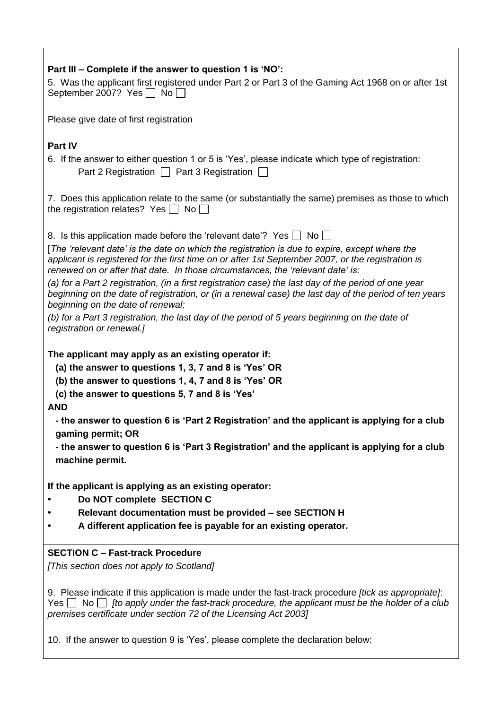| Part III - Complete if the answer to question 1 is 'NO':                                                                                                                                                                                                                                      |
|-----------------------------------------------------------------------------------------------------------------------------------------------------------------------------------------------------------------------------------------------------------------------------------------------|
| 5. Was the applicant first registered under Part 2 or Part 3 of the Gaming Act 1968 on or after 1st<br>September 2007? Yes $\Box$ No $\Box$                                                                                                                                                   |
| Please give date of first registration                                                                                                                                                                                                                                                        |
|                                                                                                                                                                                                                                                                                               |
| Part IV<br>6. If the answer to either question 1 or 5 is 'Yes', please indicate which type of registration:<br>Part 2 Registration $\Box$ Part 3 Registration $\Box$                                                                                                                          |
| 7. Does this application relate to the same (or substantially the same) premises as those to which<br>the registration relates? Yes $\Box$ No $\Box$                                                                                                                                          |
| 8. Is this application made before the 'relevant date'? Yes No                                                                                                                                                                                                                                |
| [The 'relevant date' is the date on which the registration is due to expire, except where the<br>applicant is registered for the first time on or after 1st September 2007, or the registration is<br>renewed on or after that date. In those circumstances, the 'relevant date' is:          |
| (a) for a Part 2 registration, (in a first registration case) the last day of the period of one year<br>beginning on the date of registration, or (in a renewal case) the last day of the period of ten years<br>beginning on the date of renewal;                                            |
| (b) for a Part 3 registration, the last day of the period of 5 years beginning on the date of<br>registration or renewal.]                                                                                                                                                                    |
| The applicant may apply as an existing operator if:<br>(a) the answer to questions 1, 3, 7 and 8 is 'Yes' OR<br>(b) the answer to questions 1, 4, 7 and 8 is 'Yes' OR<br>(c) the answer to questions 5, 7 and 8 is 'Yes'                                                                      |
| <b>AND</b><br>- the answer to question 6 is 'Part 2 Registration' and the applicant is applying for a club<br>gaming permit; OR                                                                                                                                                               |
| - the answer to question 6 is 'Part 3 Registration' and the applicant is applying for a club<br>machine permit.                                                                                                                                                                               |
| If the applicant is applying as an existing operator:<br>Do NOT complete SECTION C<br>Relevant documentation must be provided - see SECTION H<br>A different application fee is payable for an existing operator.                                                                             |
| <b>SECTION C - Fast-track Procedure</b>                                                                                                                                                                                                                                                       |
| [This section does not apply to Scotland]                                                                                                                                                                                                                                                     |
| 9. Please indicate if this application is made under the fast-track procedure <i>[tick as appropriate]</i> :<br>Yes $\Box$ No $\Box$ [to apply under the fast-track procedure, the applicant must be the holder of a club<br>premises certificate under section 72 of the Licensing Act 2003] |
| 10. If the answer to question 9 is 'Yes', please complete the declaration below:                                                                                                                                                                                                              |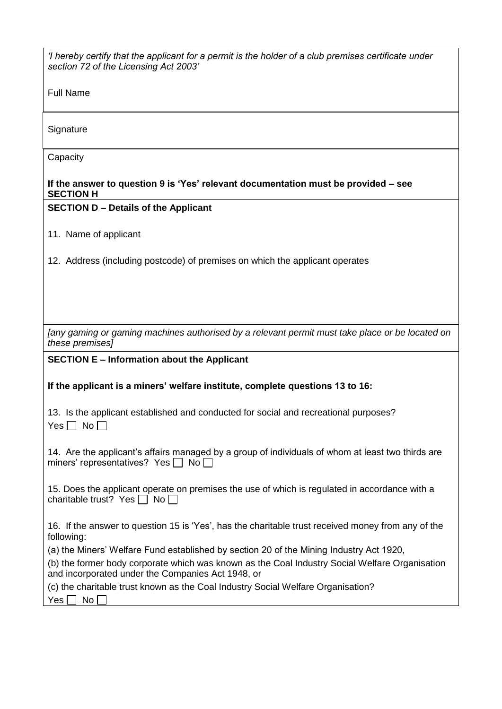| 'I hereby certify that the applicant for a permit is the holder of a club premises certificate under<br>section 72 of the Licensing Act 2003'      |
|----------------------------------------------------------------------------------------------------------------------------------------------------|
| <b>Full Name</b>                                                                                                                                   |
| Signature                                                                                                                                          |
| Capacity                                                                                                                                           |
| If the answer to question 9 is 'Yes' relevant documentation must be provided – see<br><b>SECTION H</b>                                             |
| <b>SECTION D - Details of the Applicant</b>                                                                                                        |
| 11. Name of applicant                                                                                                                              |
| 12. Address (including postcode) of premises on which the applicant operates                                                                       |
|                                                                                                                                                    |
|                                                                                                                                                    |
| [any gaming or gaming machines authorised by a relevant permit must take place or be located on<br>these premises]                                 |
| <b>SECTION E - Information about the Applicant</b>                                                                                                 |
| If the applicant is a miners' welfare institute, complete questions 13 to 16:                                                                      |
| 13. Is the applicant established and conducted for social and recreational purposes?<br>$Yes \Box No \Box$                                         |
| 14. Are the applicant's affairs managed by a group of individuals of whom at least two thirds are<br>miners' representatives? Yes $\Box$ No $\Box$ |
| 15. Does the applicant operate on premises the use of which is regulated in accordance with a<br>charitable trust? Yes $\Box$ No $\Box$            |
| 16. If the answer to question 15 is 'Yes', has the charitable trust received money from any of the<br>following:                                   |
| (a) the Miners' Welfare Fund established by section 20 of the Mining Industry Act 1920,                                                            |
| (b) the former body corporate which was known as the Coal Industry Social Welfare Organisation                                                     |
| and incorporated under the Companies Act 1948, or                                                                                                  |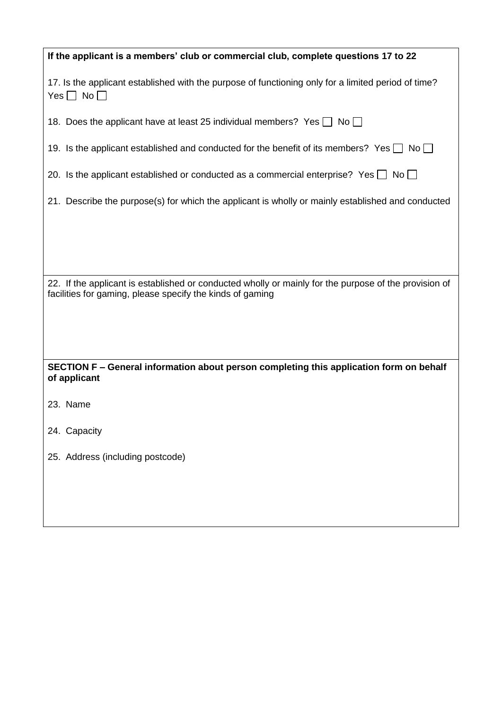| If the applicant is a members' club or commercial club, complete questions 17 to 22                                                                                |
|--------------------------------------------------------------------------------------------------------------------------------------------------------------------|
| 17. Is the applicant established with the purpose of functioning only for a limited period of time?<br>Yes $\Box$ No $\Box$                                        |
| 18. Does the applicant have at least 25 individual members? Yes $\Box$ No $\Box$                                                                                   |
| 19. Is the applicant established and conducted for the benefit of its members? Yes $\Box$ No $\Box$                                                                |
| 20. Is the applicant established or conducted as a commercial enterprise? Yes $\Box$ No $\Box$                                                                     |
| 21. Describe the purpose(s) for which the applicant is wholly or mainly established and conducted                                                                  |
|                                                                                                                                                                    |
|                                                                                                                                                                    |
| 22. If the applicant is established or conducted wholly or mainly for the purpose of the provision of<br>facilities for gaming, please specify the kinds of gaming |
|                                                                                                                                                                    |
| SECTION F – General information about person completing this application form on behalf<br>of applicant                                                            |
| 23. Name                                                                                                                                                           |
| 24. Capacity                                                                                                                                                       |
| 25. Address (including postcode)                                                                                                                                   |
|                                                                                                                                                                    |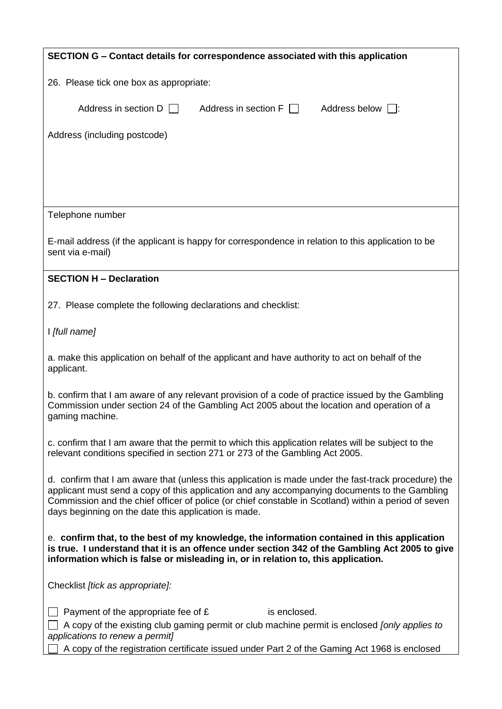| SECTION G – Contact details for correspondence associated with this application                                                                                                                                                                                                                                                                                       |  |  |  |
|-----------------------------------------------------------------------------------------------------------------------------------------------------------------------------------------------------------------------------------------------------------------------------------------------------------------------------------------------------------------------|--|--|--|
| 26. Please tick one box as appropriate:                                                                                                                                                                                                                                                                                                                               |  |  |  |
| Address in section $D \Box$<br>Address in section $F \Box$<br>Address below $\Box$ :                                                                                                                                                                                                                                                                                  |  |  |  |
| Address (including postcode)                                                                                                                                                                                                                                                                                                                                          |  |  |  |
|                                                                                                                                                                                                                                                                                                                                                                       |  |  |  |
|                                                                                                                                                                                                                                                                                                                                                                       |  |  |  |
|                                                                                                                                                                                                                                                                                                                                                                       |  |  |  |
| Telephone number                                                                                                                                                                                                                                                                                                                                                      |  |  |  |
| E-mail address (if the applicant is happy for correspondence in relation to this application to be<br>sent via e-mail)                                                                                                                                                                                                                                                |  |  |  |
| <b>SECTION H - Declaration</b>                                                                                                                                                                                                                                                                                                                                        |  |  |  |
| 27. Please complete the following declarations and checklist:                                                                                                                                                                                                                                                                                                         |  |  |  |
| I [full name]                                                                                                                                                                                                                                                                                                                                                         |  |  |  |
| a. make this application on behalf of the applicant and have authority to act on behalf of the<br>applicant.                                                                                                                                                                                                                                                          |  |  |  |
| b. confirm that I am aware of any relevant provision of a code of practice issued by the Gambling<br>Commission under section 24 of the Gambling Act 2005 about the location and operation of a<br>gaming machine.                                                                                                                                                    |  |  |  |
| c. confirm that I am aware that the permit to which this application relates will be subject to the<br>relevant conditions specified in section 271 or 273 of the Gambling Act 2005.                                                                                                                                                                                  |  |  |  |
| d. confirm that I am aware that (unless this application is made under the fast-track procedure) the<br>applicant must send a copy of this application and any accompanying documents to the Gambling<br>Commission and the chief officer of police (or chief constable in Scotland) within a period of seven<br>days beginning on the date this application is made. |  |  |  |
| e. confirm that, to the best of my knowledge, the information contained in this application<br>is true. I understand that it is an offence under section 342 of the Gambling Act 2005 to give<br>information which is false or misleading in, or in relation to, this application.                                                                                    |  |  |  |
| Checklist [tick as appropriate]:                                                                                                                                                                                                                                                                                                                                      |  |  |  |
| Payment of the appropriate fee of £<br>is enclosed.<br>A copy of the existing club gaming permit or club machine permit is enclosed [only applies to<br>applications to renew a permit]<br>A copy of the registration certificate issued under Part 2 of the Gaming Act 1968 is enclosed                                                                              |  |  |  |